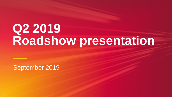# **Q1 2019 Financial Results Q2 Roadshow presentation**

September 2019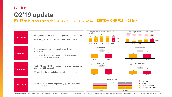### **Q2'19 update**

**FY'19 guidance range tightened at high end to adj. EBITDA CHF 618 – 628m1)**



| <b>Customers</b>     | Strong subscriber growth in mobile postpaid, internet and TV<br>$\bullet$<br>5G coverage in 262 cities/villages by mid August 2019<br>$\bullet$                                            |
|----------------------|--------------------------------------------------------------------------------------------------------------------------------------------------------------------------------------------|
|                      |                                                                                                                                                                                            |
| <b>Revenue</b>       | Continued service revenue growth driven by customer<br>$\bullet$<br>momentum<br>Ongoing service revenue diversification in terms of product<br>$\bullet$<br>category and customer segments |
|                      |                                                                                                                                                                                            |
| <b>Profitability</b> | Adj. EBITDA up +3.4% yoy mainly driven by service revenue<br>$\bullet$<br>growth and B2B segment<br>GP growth partly reinvested into operational momentum<br>$\bullet$                     |
|                      |                                                                                                                                                                                            |
| <b>Cash Flow</b>     | Equity FCF as expected; impacted by spectrum and landline<br>access payments                                                                                                               |
|                      |                                                                                                                                                                                            |

<sup>1)</sup> Guidance excluding IFRS 16 impact. Expected to impact adj. EBITDA positively by CHF40-45m in FY'19 <sup>2)</sup> Service revenue is total revenue excluding hubbing and mobile hardware revenue, which are low-margin <sup>3)</sup> Incl. I

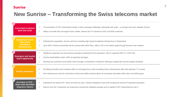

### **New Sunrise – Transforming the Swiss telecoms market**

| <b>Converged customer</b><br>base and scale                            | The acquisition of UPC Switzerland creates a function<br>$\checkmark$<br>Ability to provide fully-convergent fixed, mobile,<br>$\checkmark$                    |
|------------------------------------------------------------------------|----------------------------------------------------------------------------------------------------------------------------------------------------------------|
| <b>Switzerland's best</b><br>high-speed<br>broadband<br>infrastructure | Following the acquisition, Sunrise will have a le<br>Up to 90% of Swiss households will be covered<br>$\checkmark$                                             |
| <b>Synergies and market</b><br>share opportunity                       | Significant expected cost and revenue synergie<br>Sunrise shareholders retain >60% of expected<br>$\checkmark$<br>Winning new customers and market share throe |
| <b>Driving innovation</b>                                              | Providing innovative and combined offers for all<br>Own infrastructure and the connection of fixed a<br>$\checkmark$                                           |
| <b>Accretive to FCF/</b><br>share with identified<br>long-term returns | Expected to be equity FCF / share accretive by<br>Returns from the Transaction are expected to e                                                               |

fully-converged challenger nationwide with scale – a stronger and more valuable Sunrise

internet and TV solutions to B2C and B2B customers

eading high-speed broadband infrastructure in Switzerland

d with either fibre, cable or 5G in the Gbit/s range through Sunrise's own network

es resulting from the acquisition, with an expected NPV of ~CHF3.1bn

synergies

ough a combination of attractive offerings coupled with Sunrise quality standards

II segments as well as leading Swiss entertainment offer with attractive TV content

and mobile network allows for innovative and better offers also in the B2B space

year 1 (before integration costs and including full amount of expected synergies)

exceed the weighted average cost of capital of UPC Switzerland by year 3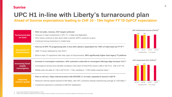

### **UPC H1 in-line with Liberty's turnaround plan Ahead of Sunrise expectations leading to CHF 10 - 15m higher FY'19 OpFCF expectation**

1) As per Liberty Global Q2'19 results presentation, p. 8 & 9

2) Content costs and partner wholesale revenues from MySports channel are higher in Q1 and Q4, due to the relative weighting of Winter sports such as Ice Hockey

#### **3.1 on track, expected to launch in Q4'19**

| <b>Turnaround plan</b><br>on track                | • RGU net adds, revenue, OCF targets achieved<br>• Success in major investments in UPC TV, 1 Gbps and digitisation<br>• RGU losses continue to slow down while customer ARPU continues to grow<br>Continued strong momentum in mobile base<br>$\bullet$                                                                                                            |
|---------------------------------------------------|--------------------------------------------------------------------------------------------------------------------------------------------------------------------------------------------------------------------------------------------------------------------------------------------------------------------------------------------------------------------|
| <b>Successful TV</b><br>transformation            | • Roll out of UPC TV progressing well, in line with Liberty's expectation for >50% of video base by FY'19 $^{1}$ )<br>• 190k TV boxes deployed by July 2019 <sup>1</sup><br>• Best-in-class TV experience with clear signs of improvements: NPS significantly higher than legacy TV platform                                                                       |
| <b>Increasing fixed-</b><br>mobile<br>convergence | • Increase in convergent customers: 16% customers subscribe to convergent offerings (4pp increase YoY) $^{1}$ )<br>Convergence driving churn benefits resulting in slow down of fixed RGU losses (-28k in Q2'19 vs. -43k in Q1'19)<br>$\bullet$<br>• Mobile subs net adds of +14k in Q2'19 (Q1: +13k), resulting in $\sim$ 170k mobile customer base <sup>1)</sup> |
| <b>Improved</b><br>network quality                | • Plan to roll-out 1 Gbps internet product with DOCSIS 3.1 on track, expected to launch in Q4'19<br>• Maximum internet speed reached of 600 Mbps, with UPC customers already experiencing average of >250 Mbps <sup>1)</sup><br>• Investment expected to contribute to EBITDA stabilisation                                                                        |







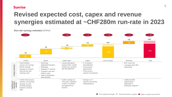



## **Revised expected cost, capex and revenue synergies estimated at ~CHF280m run-rate in 2023**

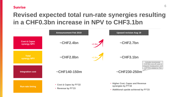



## **Revised expected total run-rate synergies resulting in a CHF0.3bn increase in NPV to CHF3.1bn**

**~CHF2.4bn**

**~CHF2.8bn**

**~CHF140-150m**

- **Cost & Capex by FY'22**
- **Revenue by FY'23**

**Cost & Capex synergy NPV**



**Run-rate timing**

**Integration cost**

**Total synergy NPV**

- **Higher Cost, Capex and Revenue synergies by FY'22**
- **Additional upside achieved by FY'23**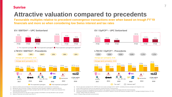

## **Attractive valuation compared to precedents**

**Favourable multiples relative to precedent convergence transactions even when based on trough FY'19 financials and more so when considering low Swiss interest and tax rates**

- 4) Assuming announced run-rate opex & capex synergies of EUR300m to be fully allocated to opex synergies
- 5) Based on fiscal year-end number as per Mar-13



Orange, Telekom Italia and Telefonica)

Source: Company filings and public announcements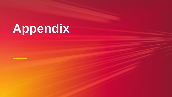# **Appendix**

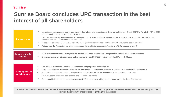

### **Sunrise Board concludes UPC transaction in the best interest of all shareholders**

| <b>Purchase price</b>                         | $\checkmark$ | Lowest cable M&A multiples paid in recent years when<br>and $\sim$ 6.5x adj. EBITDA, $\sim$ 9.5x adj. OpFCF for 2019E |
|-----------------------------------------------|--------------|-----------------------------------------------------------------------------------------------------------------------|
|                                               | $\checkmark$ | Valuation supported by an independent fairness opin<br>valuation and the financial terms of the transaction           |
|                                               | $\checkmark$ | Expected to be equity FCF / share accretive by year                                                                   |
|                                               | $\checkmark$ | Returns from the Transaction are expected to exceed                                                                   |
| <b>Synergy and value</b><br>creation          |              | >60% of increased expected synergies to be retained<br>Significant annual run rate cost, capex and revenue s          |
|                                               |              |                                                                                                                       |
|                                               |              | Committed to maintaining a prudent capital structure                                                                  |
|                                               | $\checkmark$ | Open to considering a reasonably higher starting leve                                                                 |
| <b>Financing mix and</b><br>capital structure | $\checkmark$ | Sunrise Board supported a reduction of rights issue s                                                                 |
|                                               | $\checkmark$ | Pro forma capital structure is cost-effective and has f                                                               |
|                                               | $\checkmark$ | Sunrise decided at announcement to take over the U                                                                    |
|                                               |              |                                                                                                                       |

**Sunrise and its Board believe that the UPC transaction represents a transformative strategic opportunity and remain committed to maintaining an open existing dialogue with shareholders regarding the transaction**

when adjusting for synergies and Swiss tax and interest: ~6x adj. EBITDA, ~7x adj. OpFCF for 2018

opinion to the Board. Additional fairness opinion from ValueTrust supporting UPC Switzerland

ear 1 (before integration costs and including full amount of expected synergies)

ceed the weighted average cost of capital of UPC Switzerland by year 3

ained by Sunrise shareholders – compares favourably to other cable transactions True synergies of CHF280m, with an expected NPV of ~CHF3.1bn

ture and progressive dividend policy

leverage in context of higher synergies and better than expected UPC performance

sue size by CHF1bn with the introduction of an equity linked instrument

as flexible covenants

ie UPC debt and avoid taking market risk and paying significant financing fees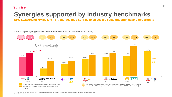



### **Synergies supported by industry benchmarks UPC Switzerland MVNO and TSA charges plus Sunrise fixed access costs underpin saving opportunity**

**Cost & Capex synergies as % of combined cost base (COGS + Opex + Capex)** Synergies supported by specific MVNO / FNO and TSA savings 24.8% 20.5% 17.0% 16.3% 13.0% 8.5% **TELE2 COM HEM Sunrise**  $S<sub>upc</sub>$   $TELE2 / COMHEM$   $SEL2 / COMHEM$   $SEL$   $Tello / TDC$   $Voddone$  be  $SED$  $TOC$  $\bullet$  Telia Announced Cost & Capex synergies as % of target cost base Revised Cost & Capex synergies as % of target cost base  $\frac{1}{2} \left( \frac{1}{2} \right) \left( \frac{1}{2} \right) \left( \frac{1}{2} \right) \left( \frac{1}{2} \right) \left( \frac{1}{2} \right) \left( \frac{1}{2} \right) \left( \frac{1}{2} \right) \left( \frac{1}{2} \right) \left( \frac{1}{2} \right) \left( \frac{1}{2} \right) \left( \frac{1}{2} \right) \left( \frac{1}{2} \right) \left( \frac{1}{2} \right) \left( \frac{1}{2} \right) \left( \frac{1}{2} \right) \left( \frac{1}{2} \right) \left( \frac$ Average  $\frac{1}{2} \left( \frac{1}{2} \left( \frac{1}{2} \right) + \frac{1}{2} \left( \frac{1}{2} \right) + \frac{1}{2} \left( \frac{1}{2} \right) \right)$ 

1) Vodafone DE figures calendarized to Dec-17 for comparability with Unitymedia. Synergies, costs and capex generated outside of the German perimeter are excluded *Source: Company information*

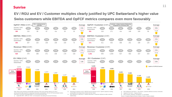11

#### **Sunrise**

### **EV / RGU and EV / Customer multiples clearly justified by UPC Switzerland's higher value Swiss customers while EBITDA and OpFCF metrics compares even more favourably**

Note: RGUs and customers exclude B2B customers; RGU and customer data as of LTM of announcement date reported in respective transaction presentations; All non-CHF denominated metrics have been converted using appropriate FX as at announcement date

1) Cable BB ARPU. ARPU for VOD / LGI transaction only taking into account Germany;



4) RGU defined as Get RGUs + TDC RGUs, Customer defined as homes connected;

5) Segment Com Hem + Segment Boxer;

6) RGU includes Telephony, Broadband, TV and Mobile

Source: Company filings and press release, Factset, Ampere analysis

2) Assuming 2x premium on EV / EBITDA and 3x premium on EV / OpFCF (based on trading comparables and impact Swiss interest and tax rates);

3) RGU defined as Total RGUs + Mobile subscribers, Customers defined as cable customer

- 
- 
- relationships;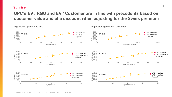



### **UPC's EV / RGU and EV / Customer are in line with precedents based on customer value and at a discount when adjusting for the Swiss premium**

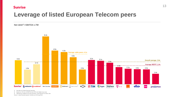

2) Based on LTM Jun-19 EBITDA and CHF4.1bn Rights Issue size

3) Adjusted by Vodafone net cash proceeds / cash payment of USD11.3bn

Source: Latest financial reports; FactSet as of 08-Aug-2019





### **Leverage of listed European Telecom peers**

#### **Net debt1) / EBITDA LTM**